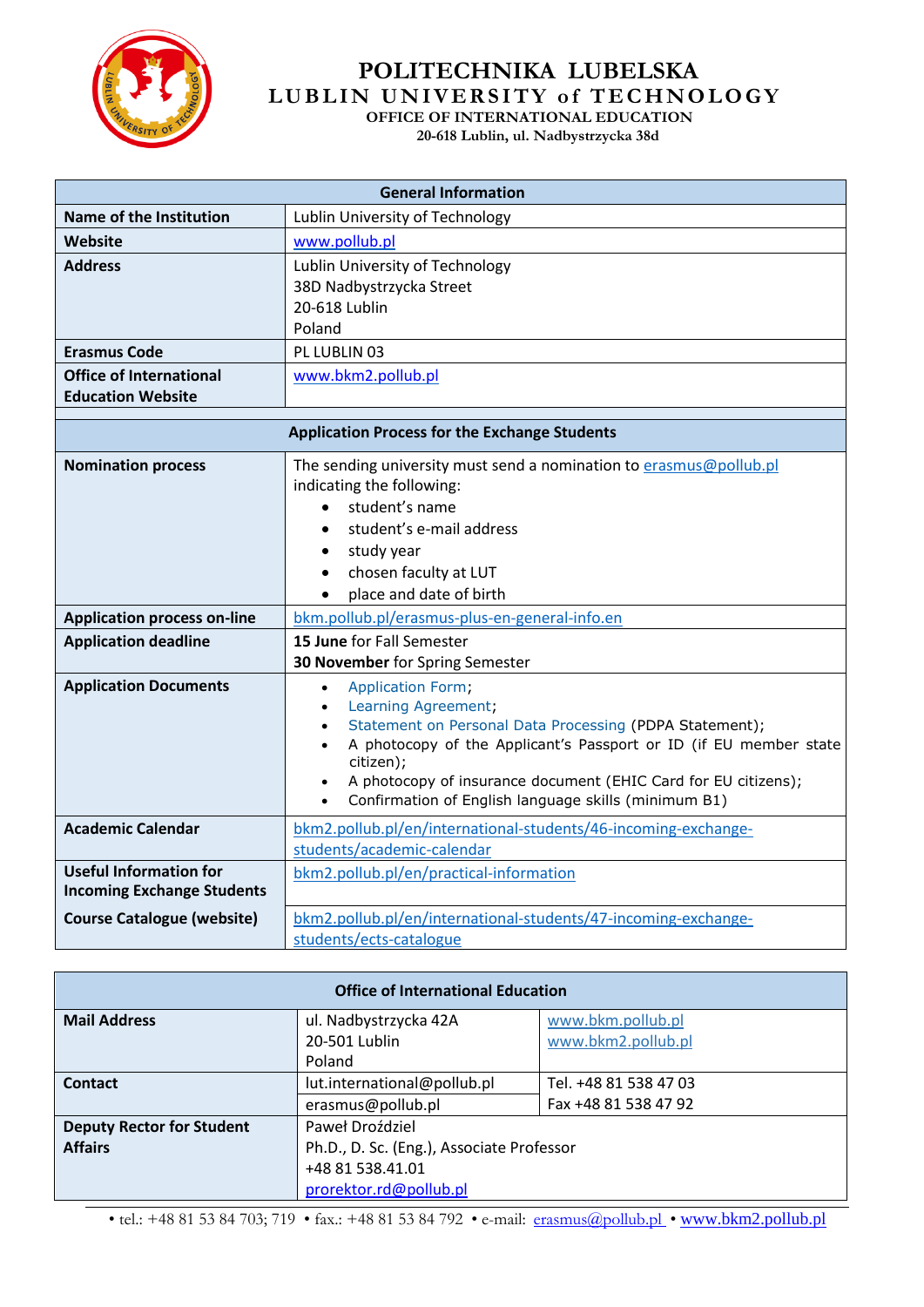

## **POLITECHNIKA LUBELSKA L U B L I N U N I V E R S I T Y o f T E C H N O L O G Y OFFICE OF INTERNATIONAL EDUCATION**

 **20-618 Lublin, ul. Nadbystrzycka 38d** 

| <b>General Information</b>                                         |                                                                                                                                                                                                                                                                                                                                                                                  |  |  |  |
|--------------------------------------------------------------------|----------------------------------------------------------------------------------------------------------------------------------------------------------------------------------------------------------------------------------------------------------------------------------------------------------------------------------------------------------------------------------|--|--|--|
| Name of the Institution                                            | Lublin University of Technology                                                                                                                                                                                                                                                                                                                                                  |  |  |  |
| Website                                                            | www.pollub.pl                                                                                                                                                                                                                                                                                                                                                                    |  |  |  |
| <b>Address</b>                                                     | Lublin University of Technology<br>38D Nadbystrzycka Street<br>20-618 Lublin                                                                                                                                                                                                                                                                                                     |  |  |  |
| <b>Erasmus Code</b>                                                | Poland<br>PL LUBLIN 03                                                                                                                                                                                                                                                                                                                                                           |  |  |  |
| <b>Office of International</b>                                     |                                                                                                                                                                                                                                                                                                                                                                                  |  |  |  |
| <b>Education Website</b>                                           | www.bkm2.pollub.pl                                                                                                                                                                                                                                                                                                                                                               |  |  |  |
|                                                                    |                                                                                                                                                                                                                                                                                                                                                                                  |  |  |  |
| <b>Application Process for the Exchange Students</b>               |                                                                                                                                                                                                                                                                                                                                                                                  |  |  |  |
| <b>Nomination process</b>                                          | The sending university must send a nomination to erasmus@pollub.pl<br>indicating the following:<br>student's name<br>$\bullet$<br>student's e-mail address<br>$\bullet$<br>study year<br>$\bullet$<br>chosen faculty at LUT<br>$\bullet$<br>place and date of birth<br>$\bullet$                                                                                                 |  |  |  |
| <b>Application process on-line</b>                                 | bkm.pollub.pl/erasmus-plus-en-general-info.en                                                                                                                                                                                                                                                                                                                                    |  |  |  |
| <b>Application deadline</b>                                        | 15 June for Fall Semester<br>30 November for Spring Semester                                                                                                                                                                                                                                                                                                                     |  |  |  |
| <b>Application Documents</b>                                       | Application Form,<br>$\bullet$<br>Learning Agreement;<br>$\bullet$<br>Statement on Personal Data Processing (PDPA Statement);<br>$\bullet$<br>A photocopy of the Applicant's Passport or ID (if EU member state<br>citizen);<br>A photocopy of insurance document (EHIC Card for EU citizens);<br>$\bullet$<br>Confirmation of English language skills (minimum B1)<br>$\bullet$ |  |  |  |
| <b>Academic Calendar</b>                                           | bkm2.pollub.pl/en/international-students/46-incoming-exchange-<br>students/academic-calendar                                                                                                                                                                                                                                                                                     |  |  |  |
| <b>Useful Information for</b><br><b>Incoming Exchange Students</b> | bkm2.pollub.pl/en/practical-information                                                                                                                                                                                                                                                                                                                                          |  |  |  |
| <b>Course Catalogue (website)</b>                                  | bkm2.pollub.pl/en/international-students/47-incoming-exchange-<br>students/ects-catalogue                                                                                                                                                                                                                                                                                        |  |  |  |

| <b>Office of International Education</b> |                                           |                                         |  |  |
|------------------------------------------|-------------------------------------------|-----------------------------------------|--|--|
| <b>Mail Address</b>                      | ul. Nadbystrzycka 42A<br>20-501 Lublin    | www.bkm.pollub.pl<br>www.bkm2.pollub.pl |  |  |
|                                          | Poland                                    |                                         |  |  |
| Contact                                  | lut.international@pollub.pl               | Tel. +48 81 538 47 03                   |  |  |
|                                          | erasmus@pollub.pl                         | Fax +48 81 538 47 92                    |  |  |
| <b>Deputy Rector for Student</b>         | Paweł Droździel                           |                                         |  |  |
| <b>Affairs</b>                           | Ph.D., D. Sc. (Eng.), Associate Professor |                                         |  |  |
|                                          | +48 81 538.41.01                          |                                         |  |  |
|                                          | prorektor.rd@pollub.pl                    |                                         |  |  |

• tel.: +48 81 53 84 703; 719 • fax.: +48 81 53 84 792 • e-mail: [erasmus@pollub.pl](../AppData/Local/Temp/Monika/od%20Gosi/erasmus@pollub.pl) • [www.bkm2.pollub.pl](../AppData/Local/Temp/Monika/od%20Gosi/www.bkm2.pollub.pl)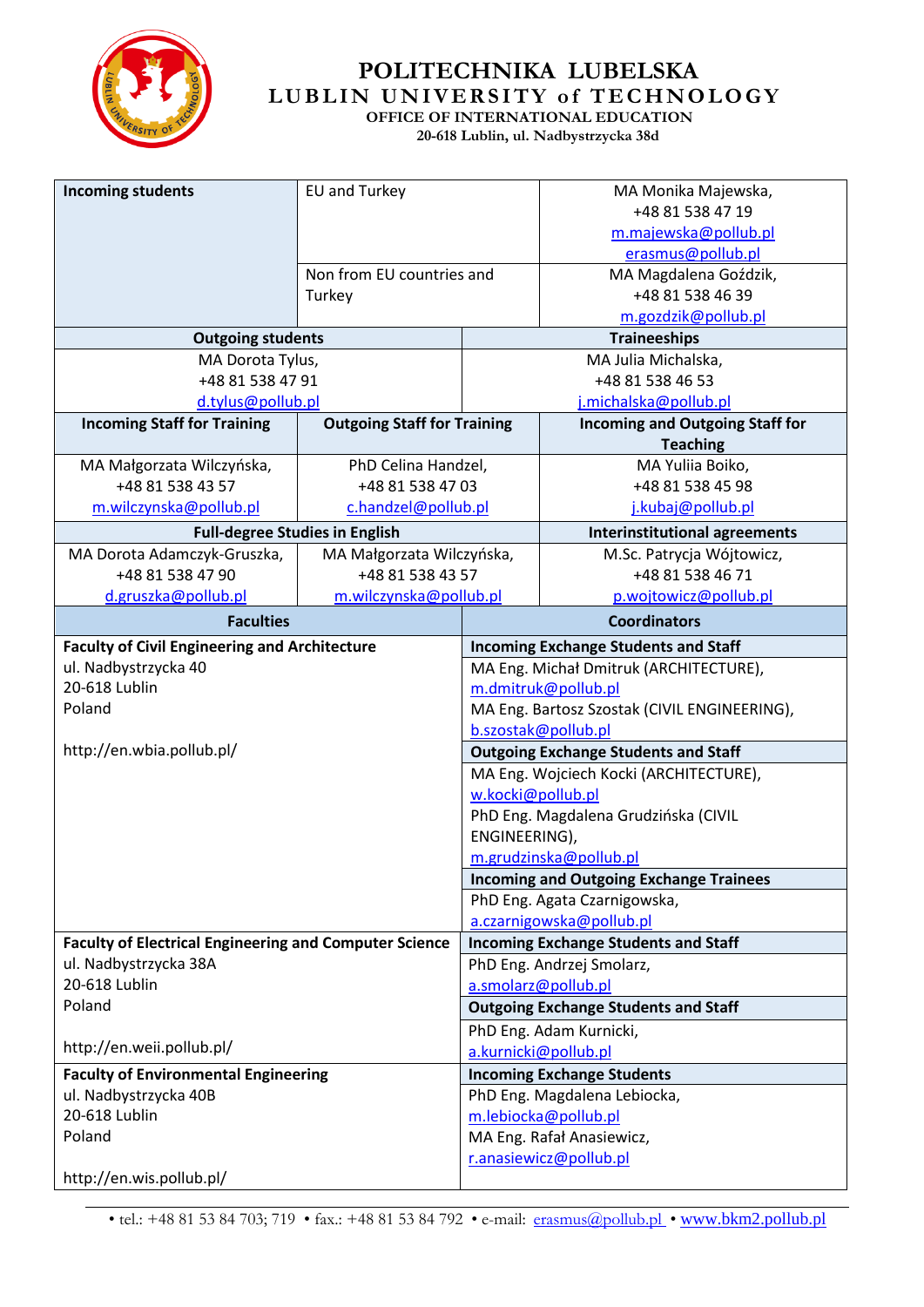

## **POLITECHNIKA LUBELSKA L U B L I N U N I V E R S I T Y o f T E C H N O L O G Y OFFICE OF INTERNATIONAL EDUCATION**

 **20-618 Lublin, ul. Nadbystrzycka 38d** 

| <b>Incoming students</b>                                      | EU and Turkey                         |                                                                          | MA Monika Majewska,                                      |  |
|---------------------------------------------------------------|---------------------------------------|--------------------------------------------------------------------------|----------------------------------------------------------|--|
|                                                               |                                       |                                                                          | +48 81 538 47 19                                         |  |
|                                                               |                                       |                                                                          | m.majewska@pollub.pl                                     |  |
|                                                               |                                       |                                                                          | erasmus@pollub.pl                                        |  |
|                                                               | Non from EU countries and             |                                                                          | MA Magdalena Goździk,                                    |  |
|                                                               | Turkey                                |                                                                          | +48 81 538 46 39                                         |  |
|                                                               |                                       |                                                                          | m.gozdzik@pollub.pl                                      |  |
| <b>Outgoing students</b>                                      |                                       |                                                                          | <b>Traineeships</b>                                      |  |
| MA Dorota Tylus,                                              |                                       | MA Julia Michalska,                                                      |                                                          |  |
| +48 81 538 47 91                                              |                                       | +48 81 538 46 53                                                         |                                                          |  |
| d.tylus@pollub.pl                                             |                                       |                                                                          | j.michalska@pollub.pl                                    |  |
| <b>Incoming Staff for Training</b>                            | <b>Outgoing Staff for Training</b>    |                                                                          | <b>Incoming and Outgoing Staff for</b>                   |  |
|                                                               |                                       |                                                                          | <b>Teaching</b>                                          |  |
| MA Małgorzata Wilczyńska,                                     | PhD Celina Handzel,                   |                                                                          | MA Yuliia Boiko,                                         |  |
| +48 81 538 43 57                                              | +48 81 538 47 03                      |                                                                          | +48 81 538 45 98                                         |  |
| m.wilczynska@pollub.pl                                        | c.handzel@pollub.pl                   |                                                                          | j.kubaj@pollub.pl                                        |  |
|                                                               | <b>Full-degree Studies in English</b> |                                                                          | <b>Interinstitutional agreements</b>                     |  |
| MA Dorota Adamczyk-Gruszka,                                   | MA Małgorzata Wilczyńska,             |                                                                          | M.Sc. Patrycja Wójtowicz,                                |  |
| +48 81 538 47 90                                              | +48 81 538 43 57                      |                                                                          | +48 81 538 46 71                                         |  |
| d.gruszka@pollub.pl                                           | m.wilczynska@pollub.pl                |                                                                          | p.wojtowicz@pollub.pl                                    |  |
| <b>Faculties</b>                                              |                                       |                                                                          | <b>Coordinators</b>                                      |  |
| <b>Faculty of Civil Engineering and Architecture</b>          |                                       | <b>Incoming Exchange Students and Staff</b>                              |                                                          |  |
| ul. Nadbystrzycka 40                                          |                                       | MA Eng. Michał Dmitruk (ARCHITECTURE),                                   |                                                          |  |
| 20-618 Lublin                                                 |                                       | m.dmitruk@pollub.pl                                                      |                                                          |  |
| Poland                                                        |                                       | MA Eng. Bartosz Szostak (CIVIL ENGINEERING),                             |                                                          |  |
|                                                               |                                       | b.szostak@pollub.pl                                                      |                                                          |  |
| http://en.wbia.pollub.pl/                                     |                                       | <b>Outgoing Exchange Students and Staff</b>                              |                                                          |  |
|                                                               |                                       | MA Eng. Wojciech Kocki (ARCHITECTURE),                                   |                                                          |  |
|                                                               |                                       | w.kocki@pollub.pl                                                        |                                                          |  |
|                                                               |                                       | PhD Eng. Magdalena Grudzińska (CIVIL                                     |                                                          |  |
|                                                               |                                       | ENGINEERING),                                                            |                                                          |  |
|                                                               |                                       | m.grudzinska@pollub.pl                                                   |                                                          |  |
|                                                               |                                       | <b>Incoming and Outgoing Exchange Trainees</b>                           |                                                          |  |
|                                                               |                                       |                                                                          | PhD Eng. Agata Czarnigowska,<br>a.czarnigowska@pollub.pl |  |
| <b>Faculty of Electrical Engineering and Computer Science</b> |                                       |                                                                          |                                                          |  |
| ul. Nadbystrzycka 38A                                         |                                       | <b>Incoming Exchange Students and Staff</b><br>PhD Eng. Andrzej Smolarz, |                                                          |  |
| 20-618 Lublin                                                 |                                       | a.smolarz@pollub.pl                                                      |                                                          |  |
| Poland                                                        |                                       | <b>Outgoing Exchange Students and Staff</b>                              |                                                          |  |
|                                                               |                                       | PhD Eng. Adam Kurnicki,                                                  |                                                          |  |
| http://en.weii.pollub.pl/                                     |                                       | a.kurnicki@pollub.pl                                                     |                                                          |  |
| <b>Faculty of Environmental Engineering</b>                   |                                       | <b>Incoming Exchange Students</b>                                        |                                                          |  |
| ul. Nadbystrzycka 40B                                         |                                       | PhD Eng. Magdalena Lebiocka,                                             |                                                          |  |
| 20-618 Lublin                                                 |                                       | m.lebiocka@pollub.pl                                                     |                                                          |  |
| Poland                                                        |                                       | MA Eng. Rafał Anasiewicz,                                                |                                                          |  |
|                                                               |                                       | r.anasiewicz@pollub.pl                                                   |                                                          |  |
| http://en.wis.pollub.pl/                                      |                                       |                                                                          |                                                          |  |

• tel.: +48 81 53 84 703; 719 • fax.: +48 81 53 84 792 • e-mail: [erasmus@pollub.pl](../AppData/Local/Temp/Monika/od%20Gosi/erasmus@pollub.pl) • [www.bkm2.pollub.pl](../AppData/Local/Temp/Monika/od%20Gosi/www.bkm2.pollub.pl)